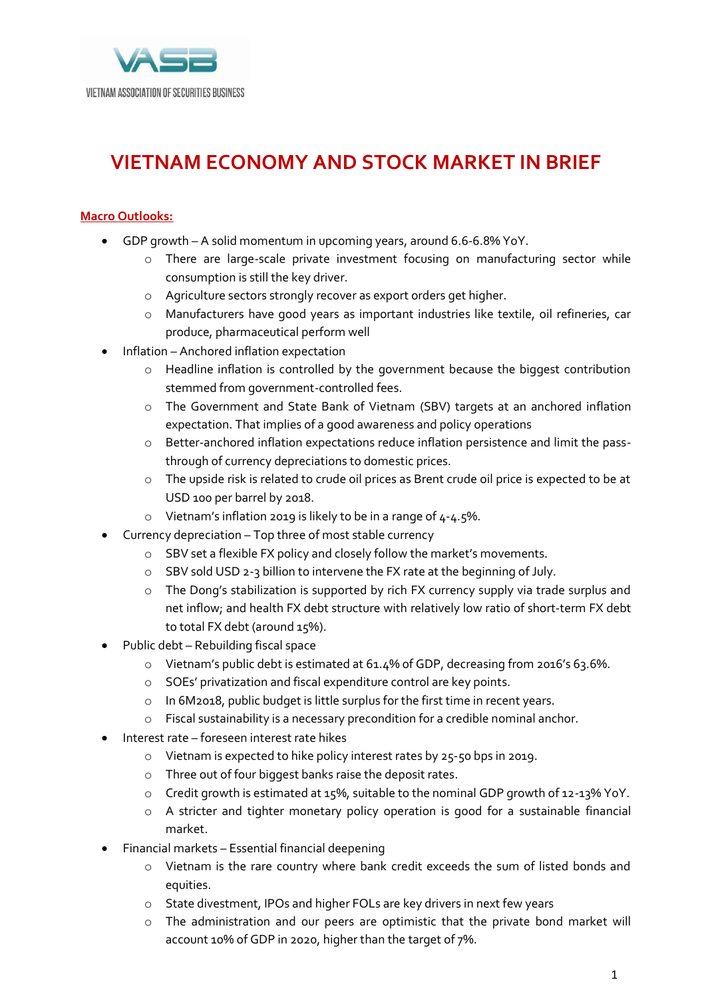

## **VIETNAM ECONOMY AND STOCK MARKET IN BRIEF**

## **Macro Outlooks:**

- GDP growth A solid momentum in upcoming years, around 6.6-6.8% YoY.
	- o There are large-scale private investment focusing on manufacturing sector while consumption is still the key driver.
	- o Agriculture sectors strongly recover as export orders get higher.
	- o Manufacturers have good years as important industries like textile, oil refineries, car produce, pharmaceutical perform well
- Inflation Anchored inflation expectation
	- o Headline inflation is controlled by the government because the biggest contribution stemmed from government-controlled fees.
	- o The Government and State Bank of Vietnam (SBV) targets at an anchored inflation expectation. That implies of a good awareness and policy operations
	- o Better-anchored inflation expectations reduce inflation persistence and limit the passthrough of currency depreciations to domestic prices.
	- o The upside risk is related to crude oil prices as Brent crude oil price is expected to be at USD 100 per barrel by 2018.
	- o Vietnam's inflation 2019 is likely to be in a range of 4-4.5%.
	- Currency depreciation Top three of most stable currency
		- o SBV set a flexible FX policy and closely follow the market's movements.
		- o SBV sold USD 2-3 billion to intervene the FX rate at the beginning of July.
		- o The Dong's stabilization is supported by rich FX currency supply via trade surplus and net inflow; and health FX debt structure with relatively low ratio of short-term FX debt to total FX debt (around 15%).
- Public debt Rebuilding fiscal space
	- o Vietnam's public debt is estimated at 61.4% of GDP, decreasing from 2016's 63.6%.
	- o SOEs' privatization and fiscal expenditure control are key points.
	- o In 6M2018, public budget is little surplus for the first time in recent years.
	- o Fiscal sustainability is a necessary precondition for a credible nominal anchor.
- Interest rate foreseen interest rate hikes
	- o Vietnam is expected to hike policy interest rates by 25-50 bps in 2019.
	- o Three out of four biggest banks raise the deposit rates.
	- o Credit growth is estimated at 15%, suitable to the nominal GDP growth of 12-13% YoY.
	- o A stricter and tighter monetary policy operation is good for a sustainable financial market.
- Financial markets Essential financial deepening
	- o Vietnam is the rare country where bank credit exceeds the sum of listed bonds and equities.
	- o State divestment, IPOs and higher FOLs are key drivers in next few years
	- o The administration and our peers are optimistic that the private bond market will account 10% of GDP in 2020, higher than the target of 7%.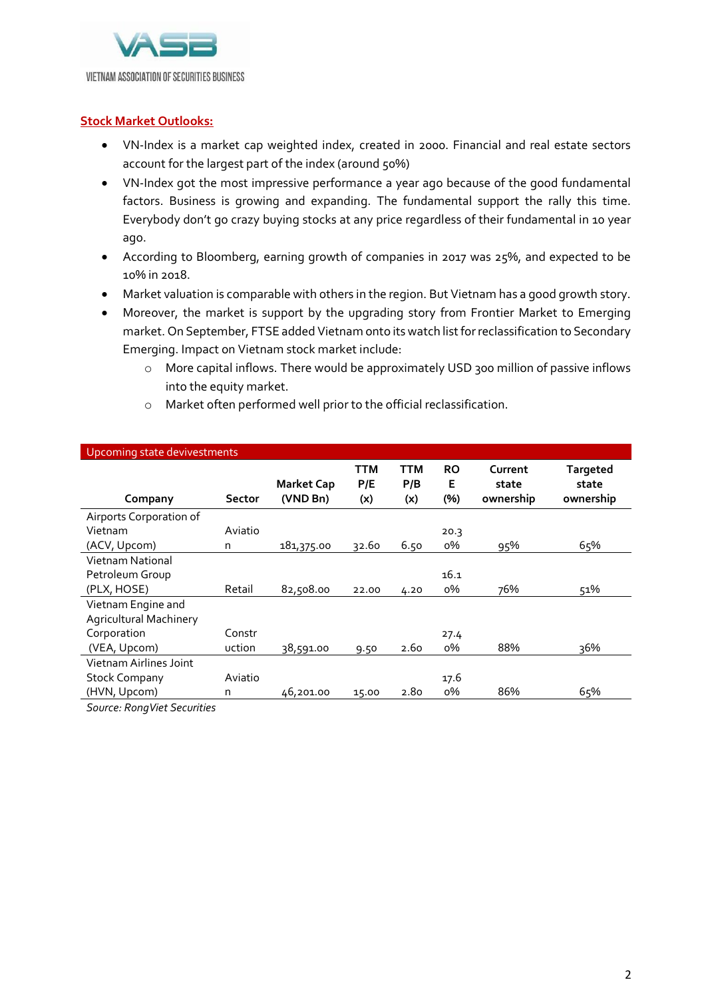

## **Stock Market Outlooks:**

- VN-Index is a market cap weighted index, created in 2000. Financial and real estate sectors account for the largest part of the index (around 50%)
- VN-Index got the most impressive performance a year ago because of the good fundamental factors. Business is growing and expanding. The fundamental support the rally this time. Everybody don't go crazy buying stocks at any price regardless of their fundamental in 10 year ago.
- According to Bloomberg, earning growth of companies in 2017 was 25%, and expected to be 10% in 2018.
- Market valuation is comparable with others in the region. But Vietnam has a good growth story.
- Moreover, the market is support by the upgrading story from Frontier Market to Emerging market. On September, FTSE added Vietnam onto its watch list for reclassification to Secondary Emerging. Impact on Vietnam stock market include:
	- o More capital inflows. There would be approximately USD 300 million of passive inflows into the equity market.

| Upcoming state devivestments  |         |                               |                   |                   |                       |                               |                                       |
|-------------------------------|---------|-------------------------------|-------------------|-------------------|-----------------------|-------------------------------|---------------------------------------|
| Company                       | Sector  | <b>Market Cap</b><br>(VND Bn) | TTM<br>P/E<br>(x) | ттм<br>P/B<br>(x) | <b>RO</b><br>E<br>(%) | Current<br>state<br>ownership | <b>Targeted</b><br>state<br>ownership |
| Airports Corporation of       |         |                               |                   |                   |                       |                               |                                       |
| Vietnam                       | Aviatio |                               |                   |                   | 20.3                  |                               |                                       |
| (ACV, Upcom)                  | n       | 181,375.00                    | 32.60             | 6.50              | о%                    | <u>95</u> %                   | 65%                                   |
| Vietnam National              |         |                               |                   |                   |                       |                               |                                       |
| Petroleum Group               |         |                               |                   |                   | 16.1                  |                               |                                       |
| (PLX, HOSE)                   | Retail  | 82,508.00                     | 22.00             | 4.20              | $0\%$                 | 76%                           | 51%                                   |
| Vietnam Engine and            |         |                               |                   |                   |                       |                               |                                       |
| <b>Agricultural Machinery</b> |         |                               |                   |                   |                       |                               |                                       |
| Corporation                   | Constr  |                               |                   |                   | 27.4                  |                               |                                       |
| (VEA, Upcom)                  | uction  | 38,591.00                     | 9.50              | 2.60              | $0\%$                 | 88%                           | 36%                                   |
| Vietnam Airlines Joint        |         |                               |                   |                   |                       |                               |                                       |
| <b>Stock Company</b>          | Aviatio |                               |                   |                   | 17.6                  |                               |                                       |
| (HVN, Upcom)                  | n       | 46,201.00                     | 15.00             | 2.80              | о%                    | 86%                           | 65%                                   |
|                               |         |                               |                   |                   |                       |                               |                                       |

o Market often performed well prior to the official reclassification.

*Source: RongViet Securities*